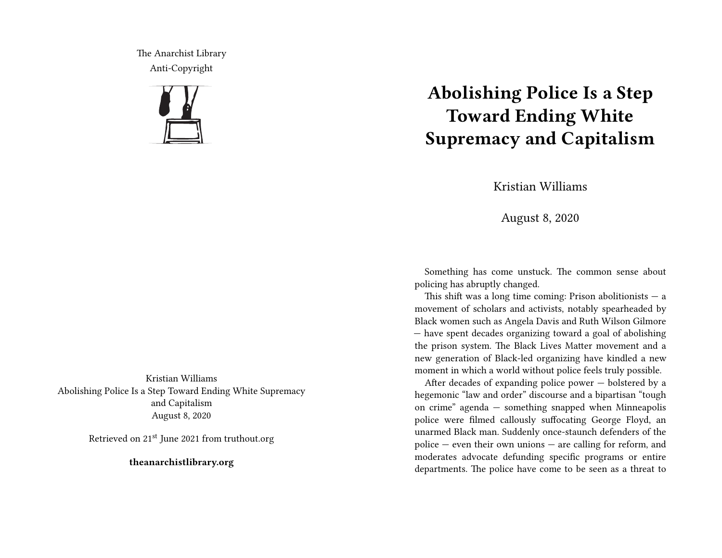The Anarchist Library Anti-Copyright



Kristian Williams Abolishing Police Is a Step Toward Ending White Supremacy and Capitalism August 8, 2020

Retrieved on 21<sup>st</sup> June 2021 from truthout.org

**theanarchistlibrary.org**

## **Abolishing Police Is a Step Toward Ending White Supremacy and Capitalism**

Kristian Williams

August 8, 2020

Something has come unstuck. The common sense about policing has abruptly changed.

This shift was a long time coming: Prison abolitionists  $-$  a movement of scholars and activists, notably spearheaded by Black women such as Angela Davis and Ruth Wilson Gilmore — have spent decades organizing toward a goal of abolishing the prison system. The Black Lives Matter movement and a new generation of Black-led organizing have kindled a new moment in which a world without police feels truly possible.

After decades of expanding police power — bolstered by a hegemonic "law and order" discourse and a bipartisan "tough on crime" agenda — something snapped when Minneapolis police were filmed callously suffocating George Floyd, an unarmed Black man. Suddenly once-staunch defenders of the police — even their own unions — are calling for reform, and moderates advocate defunding specific programs or entire departments. The police have come to be seen as a threat to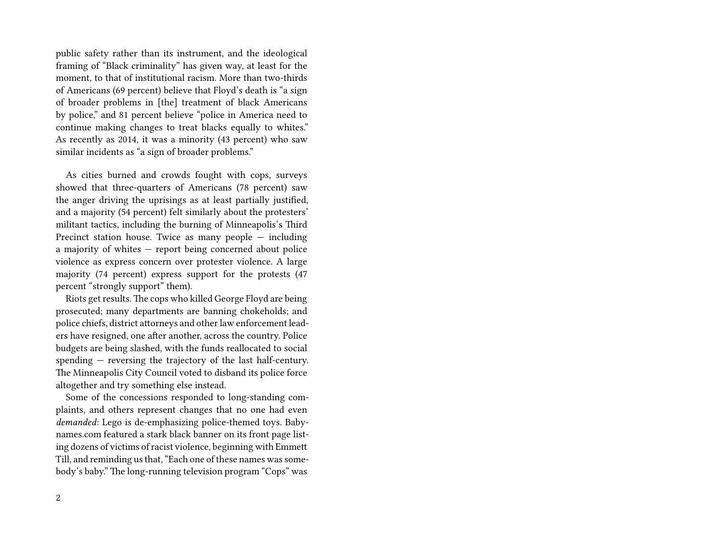public safety rather than its instrument, and the ideological framing of "Black criminality" has given way, at least for the moment, to that of institutional racism. More than two-thirds of Americans (69 percent) believe that Floyd's death is "a sign of broader problems in [the] treatment of black Americans by police," and 81 percent believe "police in America need to continue making changes to treat blacks equally to whites." As recently as 2014, it was a minority (43 percent) who saw similar incidents as "a sign of broader problems."

As cities burned and crowds fought with cops, surveys showed that three-quarters of Americans (78 percent) saw the anger driving the uprisings as at least partially justified, and a majority (54 percent) felt similarly about the protesters' militant tactics, including the burning of Minneapolis's Third Precinct station house. Twice as many people — including a majority of whites — report being concerned about police violence as express concern over protester violence. A large majority (74 percent) express support for the protests (47 percent "strongly support" them).

Riots get results. The cops who killed George Floyd are being prosecuted; many departments are banning chokeholds; and police chiefs, district attorneys and other law enforcement leaders have resigned, one after another, across the country. Police budgets are being slashed, with the funds reallocated to social spending — reversing the trajectory of the last half-century. The Minneapolis City Council voted to disband its police force altogether and try something else instead.

Some of the concessions responded to long-standing complaints, and others represent changes that no one had even *demanded*: Lego is de-emphasizing police-themed toys. Babynames.com featured a stark black banner on its front page listing dozens of victims of racist violence, beginning with Emmett Till, and reminding us that, "Each one of these names was somebody's baby." The long-running television program "Cops" was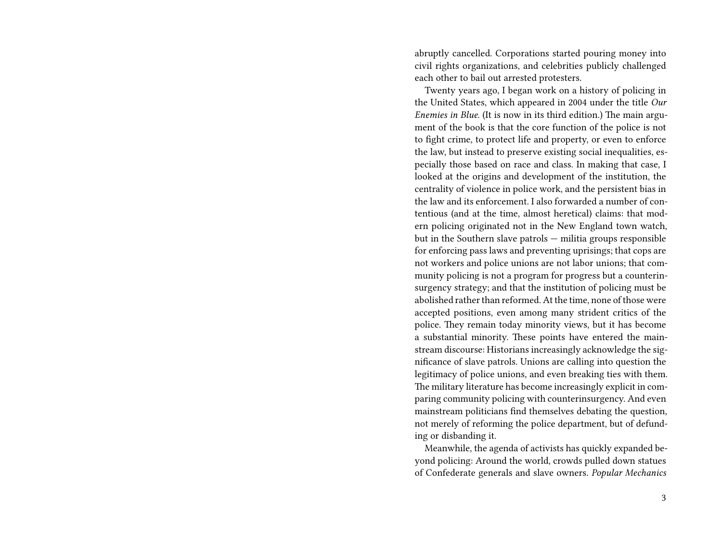abruptly cancelled. Corporations started pouring money into civil rights organizations, and celebrities publicly challenged each other to bail out arrested protesters.

Twenty years ago, I began work on a history of policing in the United States, which appeared in 2004 under the title *Our Enemies in Blue*. (It is now in its third edition.) The main argument of the book is that the core function of the police is not to fight crime, to protect life and property, or even to enforce the law, but instead to preserve existing social inequalities, especially those based on race and class. In making that case, I looked at the origins and development of the institution, the centrality of violence in police work, and the persistent bias in the law and its enforcement. I also forwarded a number of contentious (and at the time, almost heretical) claims: that modern policing originated not in the New England town watch, but in the Southern slave patrols — militia groups responsible for enforcing pass laws and preventing uprisings; that cops are not workers and police unions are not labor unions; that community policing is not a program for progress but a counterinsurgency strategy; and that the institution of policing must be abolished rather than reformed. At the time, none of those were accepted positions, even among many strident critics of the police. They remain today minority views, but it has become a substantial minority. These points have entered the mainstream discourse: Historians increasingly acknowledge the significance of slave patrols. Unions are calling into question the legitimacy of police unions, and even breaking ties with them. The military literature has become increasingly explicit in comparing community policing with counterinsurgency. And even mainstream politicians find themselves debating the question, not merely of reforming the police department, but of defunding or disbanding it.

Meanwhile, the agenda of activists has quickly expanded beyond policing: Around the world, crowds pulled down statues of Confederate generals and slave owners. *Popular Mechanics*